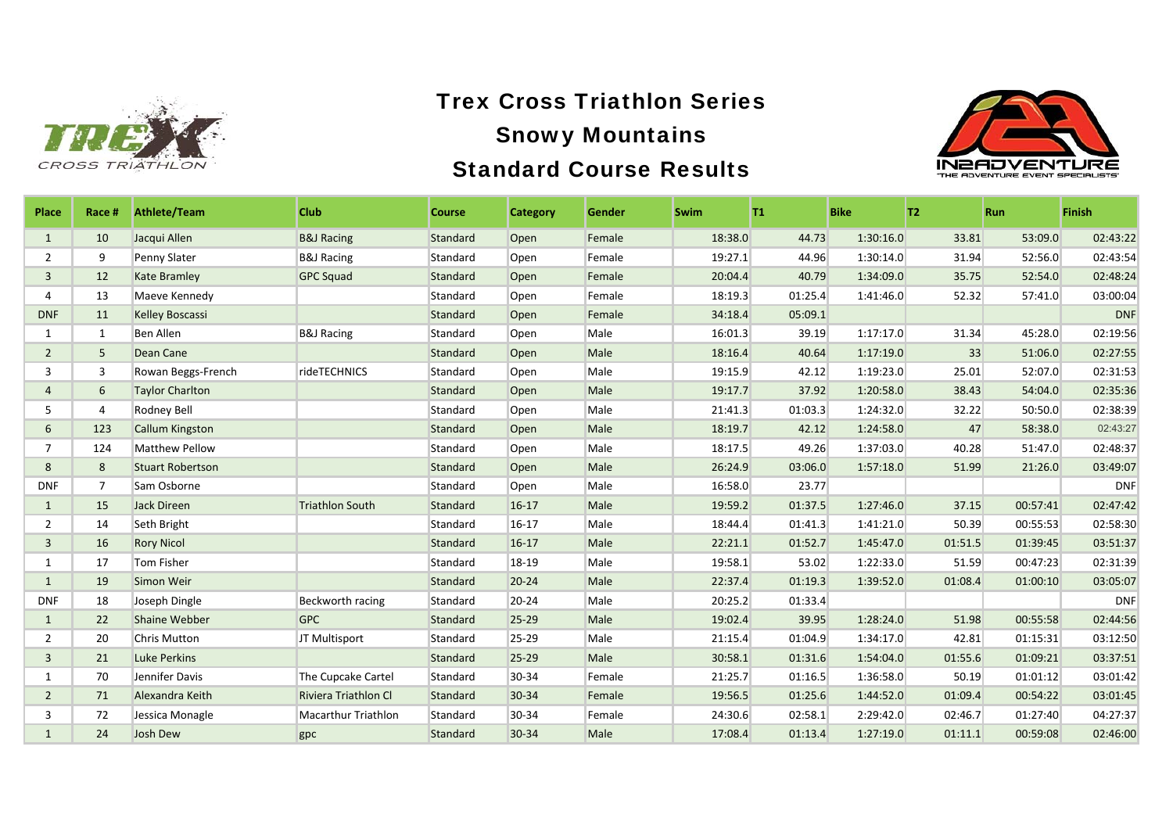



| Place          | Race #         | <b>Athlete/Team</b>     | <b>Club</b>                | <b>Course</b> | <b>Category</b> | Gender | <b>Swim</b> | T1      | <b>Bike</b> | T2      | <b>Run</b> | <b>Finish</b> |
|----------------|----------------|-------------------------|----------------------------|---------------|-----------------|--------|-------------|---------|-------------|---------|------------|---------------|
| 1              | 10             | Jacqui Allen            | <b>B&amp;J Racing</b>      | Standard      | Open            | Female | 18:38.0     | 44.73   | 1:30:16.0   | 33.81   | 53:09.0    | 02:43:22      |
| $\overline{2}$ | 9              | Penny Slater            | <b>B&amp;J Racing</b>      | Standard      | Open            | Female | 19:27.1     | 44.96   | 1:30:14.0   | 31.94   | 52:56.0    | 02:43:54      |
| $\mathbf{3}$   | 12             | <b>Kate Bramley</b>     | <b>GPC Squad</b>           | Standard      | Open            | Female | 20:04.4     | 40.79   | 1:34:09.0   | 35.75   | 52:54.0    | 02:48:24      |
| 4              | 13             | Maeve Kennedy           |                            | Standard      | Open            | Female | 18:19.3     | 01:25.4 | 1:41:46.0   | 52.32   | 57:41.0    | 03:00:04      |
| <b>DNF</b>     | 11             | <b>Kelley Boscassi</b>  |                            | Standard      | Open            | Female | 34:18.4     | 05:09.1 |             |         |            | <b>DNF</b>    |
| 1              | $\mathbf{1}$   | <b>Ben Allen</b>        | <b>B&amp;J Racing</b>      | Standard      | Open            | Male   | 16:01.3     | 39.19   | 1:17:17.0   | 31.34   | 45:28.0    | 02:19:56      |
| $\overline{2}$ | 5              | Dean Cane               |                            | Standard      | Open            | Male   | 18:16.4     | 40.64   | 1:17:19.0   | 33      | 51:06.0    | 02:27:55      |
| 3              | 3              | Rowan Beggs-French      | rideTECHNICS               | Standard      | Open            | Male   | 19:15.9     | 42.12   | 1:19:23.0   | 25.01   | 52:07.0    | 02:31:53      |
| $\overline{4}$ | 6              | <b>Taylor Charlton</b>  |                            | Standard      | Open            | Male   | 19:17.7     | 37.92   | 1:20:58.0   | 38.43   | 54:04.0    | 02:35:36      |
| 5              | 4              | Rodney Bell             |                            | Standard      | Open            | Male   | 21:41.3     | 01:03.3 | 1:24:32.0   | 32.22   | 50:50.0    | 02:38:39      |
| 6              | 123            | <b>Callum Kingston</b>  |                            | Standard      | Open            | Male   | 18:19.7     | 42.12   | 1:24:58.0   | 47      | 58:38.0    | 02:43:27      |
| $\overline{7}$ | 124            | Matthew Pellow          |                            | Standard      | Open            | Male   | 18:17.5     | 49.26   | 1:37:03.0   | 40.28   | 51:47.0    | 02:48:37      |
| 8              | 8              | <b>Stuart Robertson</b> |                            | Standard      | Open            | Male   | 26:24.9     | 03:06.0 | 1:57:18.0   | 51.99   | 21:26.0    | 03:49:07      |
| <b>DNF</b>     | $\overline{7}$ | Sam Osborne             |                            | Standard      | Open            | Male   | 16:58.0     | 23.77   |             |         |            | <b>DNF</b>    |
| $\mathbf{1}$   | 15             | <b>Jack Direen</b>      | <b>Triathlon South</b>     | Standard      | $16-17$         | Male   | 19:59.2     | 01:37.5 | 1:27:46.0   | 37.15   | 00:57:41   | 02:47:42      |
| $\overline{2}$ | 14             | Seth Bright             |                            | Standard      | $16-17$         | Male   | 18:44.4     | 01:41.3 | 1:41:21.0   | 50.39   | 00:55:53   | 02:58:30      |
| 3              | 16             | <b>Rory Nicol</b>       |                            | Standard      | $16-17$         | Male   | 22:21.1     | 01:52.7 | 1:45:47.0   | 01:51.5 | 01:39:45   | 03:51:37      |
| 1              | 17             | Tom Fisher              |                            | Standard      | 18-19           | Male   | 19:58.1     | 53.02   | 1:22:33.0   | 51.59   | 00:47:23   | 02:31:39      |
| $\mathbf{1}$   | 19             | Simon Weir              |                            | Standard      | $20 - 24$       | Male   | 22:37.4     | 01:19.3 | 1:39:52.0   | 01:08.4 | 01:00:10   | 03:05:07      |
| <b>DNF</b>     | 18             | Joseph Dingle           | Beckworth racing           | Standard      | 20-24           | Male   | 20:25.2     | 01:33.4 |             |         |            | <b>DNF</b>    |
| $\mathbf{1}$   | 22             | <b>Shaine Webber</b>    | <b>GPC</b>                 | Standard      | $25 - 29$       | Male   | 19:02.4     | 39.95   | 1:28:24.0   | 51.98   | 00:55:58   | 02:44:56      |
| $\overline{2}$ | 20             | <b>Chris Mutton</b>     | JT Multisport              | Standard      | 25-29           | Male   | 21:15.4     | 01:04.9 | 1:34:17.0   | 42.81   | 01:15:31   | 03:12:50      |
| $\overline{3}$ | 21             | <b>Luke Perkins</b>     |                            | Standard      | 25-29           | Male   | 30:58.1     | 01:31.6 | 1:54:04.0   | 01:55.6 | 01:09:21   | 03:37:51      |
| $\mathbf{1}$   | 70             | Jennifer Davis          | The Cupcake Cartel         | Standard      | 30-34           | Female | 21:25.7     | 01:16.5 | 1:36:58.0   | 50.19   | 01:01:12   | 03:01:42      |
| $\overline{2}$ | 71             | Alexandra Keith         | Riviera Triathlon Cl       | Standard      | 30-34           | Female | 19:56.5     | 01:25.6 | 1:44:52.0   | 01:09.4 | 00:54:22   | 03:01:45      |
| 3              | 72             | Jessica Monagle         | <b>Macarthur Triathlon</b> | Standard      | 30-34           | Female | 24:30.6     | 02:58.1 | 2:29:42.0   | 02:46.7 | 01:27:40   | 04:27:37      |
| $\mathbf{1}$   | 24             | <b>Josh Dew</b>         | gpc                        | Standard      | 30-34           | Male   | 17:08.4     | 01:13.4 | 1:27:19.0   | 01:11.1 | 00:59:08   | 02:46:00      |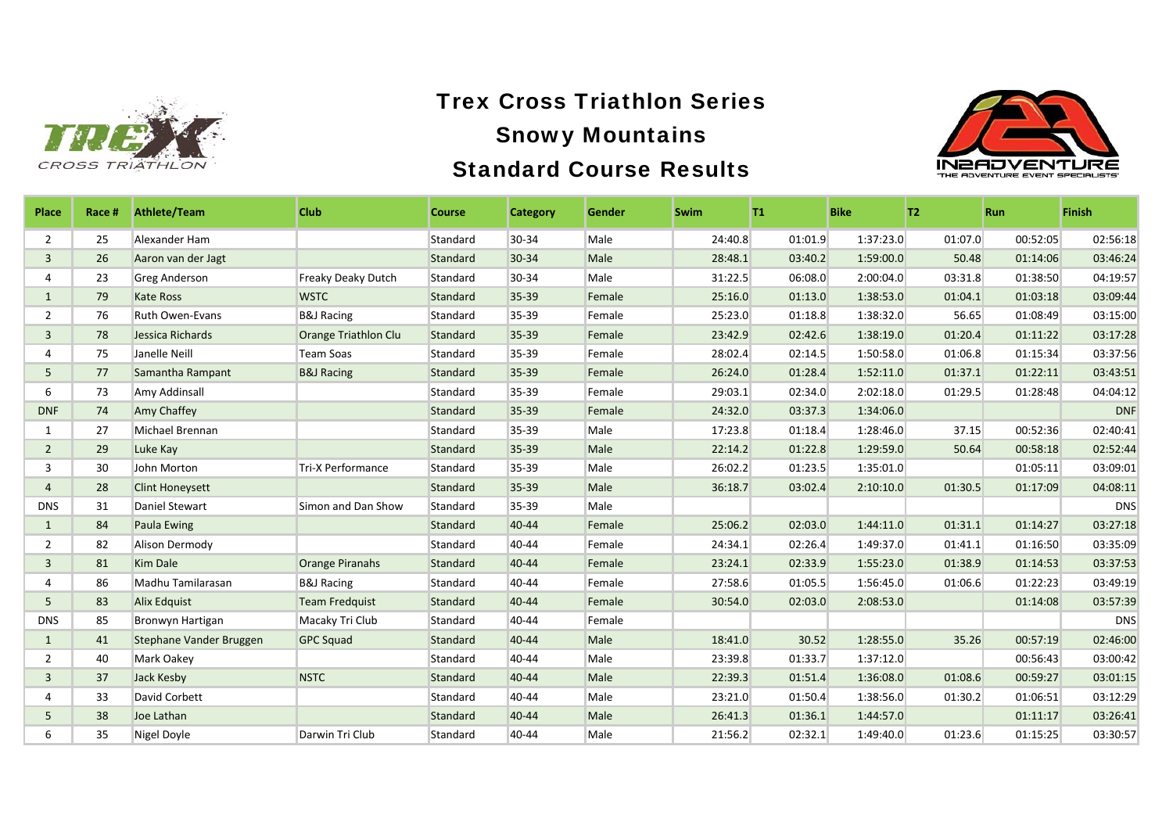



| <b>Place</b>   | Race # | <b>Athlete/Team</b>     | <b>Club</b>               | <b>Course</b> | <b>Category</b> | Gender | <b>Swim</b> | T1.     | <b>Bike</b> | T2      | <b>Run</b> | <b>Finish</b> |
|----------------|--------|-------------------------|---------------------------|---------------|-----------------|--------|-------------|---------|-------------|---------|------------|---------------|
| 2              | 25     | Alexander Ham           |                           | Standard      | 30-34           | Male   | 24:40.8     | 01:01.9 | 1:37:23.0   | 01:07.0 | 00:52:05   | 02:56:18      |
| $\overline{3}$ | 26     | Aaron van der Jagt      |                           | Standard      | 30-34           | Male   | 28:48.1     | 03:40.2 | 1:59:00.0   | 50.48   | 01:14:06   | 03:46:24      |
| 4              | 23     | <b>Greg Anderson</b>    | <b>Freaky Deaky Dutch</b> | Standard      | 30-34           | Male   | 31:22.5     | 06:08.0 | 2:00:04.0   | 03:31.8 | 01:38:50   | 04:19:57      |
| $\mathbf{1}$   | 79     | <b>Kate Ross</b>        | <b>WSTC</b>               | Standard      | 35-39           | Female | 25:16.0     | 01:13.0 | 1:38:53.0   | 01:04.1 | 01:03:18   | 03:09:44      |
| $\overline{2}$ | 76     | <b>Ruth Owen-Evans</b>  | <b>B&amp;J Racing</b>     | Standard      | 35-39           | Female | 25:23.0     | 01:18.8 | 1:38:32.0   | 56.65   | 01:08:49   | 03:15:00      |
| 3              | 78     | Jessica Richards        | Orange Triathlon Clu      | Standard      | 35-39           | Female | 23:42.9     | 02:42.6 | 1:38:19.0   | 01:20.4 | 01:11:22   | 03:17:28      |
| 4              | 75     | Janelle Neill           | <b>Team Soas</b>          | Standard      | 35-39           | Female | 28:02.4     | 02:14.5 | 1:50:58.0   | 01:06.8 | 01:15:34   | 03:37:56      |
| 5              | 77     | Samantha Rampant        | <b>B&amp;J Racing</b>     | Standard      | 35-39           | Female | 26:24.0     | 01:28.4 | 1:52:11.0   | 01:37.1 | 01:22:11   | 03:43:51      |
| 6              | 73     | Amy Addinsall           |                           | Standard      | 35-39           | Female | 29:03.1     | 02:34.0 | 2:02:18.0   | 01:29.5 | 01:28:48   | 04:04:12      |
| <b>DNF</b>     | 74     | Amy Chaffey             |                           | Standard      | 35-39           | Female | 24:32.0     | 03:37.3 | 1:34:06.0   |         |            | <b>DNF</b>    |
| $\mathbf{1}$   | 27     | Michael Brennan         |                           | Standard      | 35-39           | Male   | 17:23.8     | 01:18.4 | 1:28:46.0   | 37.15   | 00:52:36   | 02:40:41      |
| $\overline{2}$ | 29     | Luke Kay                |                           | Standard      | 35-39           | Male   | 22:14.2     | 01:22.8 | 1:29:59.0   | 50.64   | 00:58:18   | 02:52:44      |
| 3              | 30     | John Morton             | Tri-X Performance         | Standard      | 35-39           | Male   | 26:02.2     | 01:23.5 | 1:35:01.0   |         | 01:05:11   | 03:09:01      |
| $\overline{4}$ | 28     | <b>Clint Honeysett</b>  |                           | Standard      | 35-39           | Male   | 36:18.7     | 03:02.4 | 2:10:10.0   | 01:30.5 | 01:17:09   | 04:08:11      |
| <b>DNS</b>     | 31     | Daniel Stewart          | Simon and Dan Show        | Standard      | 35-39           | Male   |             |         |             |         |            | <b>DNS</b>    |
| $\mathbf{1}$   | 84     | <b>Paula Ewing</b>      |                           | Standard      | 40-44           | Female | 25:06.2     | 02:03.0 | 1:44:11.0   | 01:31.1 | 01:14:27   | 03:27:18      |
| $\overline{2}$ | 82     | Alison Dermody          |                           | Standard      | 40-44           | Female | 24:34.1     | 02:26.4 | 1:49:37.0   | 01:41.1 | 01:16:50   | 03:35:09      |
| 3              | 81     | Kim Dale                | <b>Orange Piranahs</b>    | Standard      | 40-44           | Female | 23:24.1     | 02:33.9 | 1:55:23.0   | 01:38.9 | 01:14:53   | 03:37:53      |
| 4              | 86     | Madhu Tamilarasan       | <b>B&amp;J Racing</b>     | Standard      | 40-44           | Female | 27:58.6     | 01:05.5 | 1:56:45.0   | 01:06.6 | 01:22:23   | 03:49:19      |
| 5              | 83     | <b>Alix Edguist</b>     | <b>Team Fredquist</b>     | Standard      | 40-44           | Female | 30:54.0     | 02:03.0 | 2:08:53.0   |         | 01:14:08   | 03:57:39      |
| <b>DNS</b>     | 85     | Bronwyn Hartigan        | Macaky Tri Club           | Standard      | 40-44           | Female |             |         |             |         |            | <b>DNS</b>    |
| $\mathbf{1}$   | 41     | Stephane Vander Bruggen | <b>GPC Squad</b>          | Standard      | 40-44           | Male   | 18:41.0     | 30.52   | 1:28:55.0   | 35.26   | 00:57:19   | 02:46:00      |
| 2              | 40     | Mark Oakey              |                           | Standard      | 40-44           | Male   | 23:39.8     | 01:33.7 | 1:37:12.0   |         | 00:56:43   | 03:00:42      |
| 3              | 37     | Jack Kesby              | <b>NSTC</b>               | Standard      | 40-44           | Male   | 22:39.3     | 01:51.4 | 1:36:08.0   | 01:08.6 | 00:59:27   | 03:01:15      |
| 4              | 33     | David Corbett           |                           | Standard      | 40-44           | Male   | 23:21.0     | 01:50.4 | 1:38:56.0   | 01:30.2 | 01:06:51   | 03:12:29      |
| 5              | 38     | Joe Lathan              |                           | Standard      | 40-44           | Male   | 26:41.3     | 01:36.1 | 1:44:57.0   |         | 01:11:17   | 03:26:41      |
| 6              | 35     | Nigel Doyle             | Darwin Tri Club           | Standard      | 40-44           | Male   | 21:56.2     | 02:32.1 | 1:49:40.0   | 01:23.6 | 01:15:25   | 03:30:57      |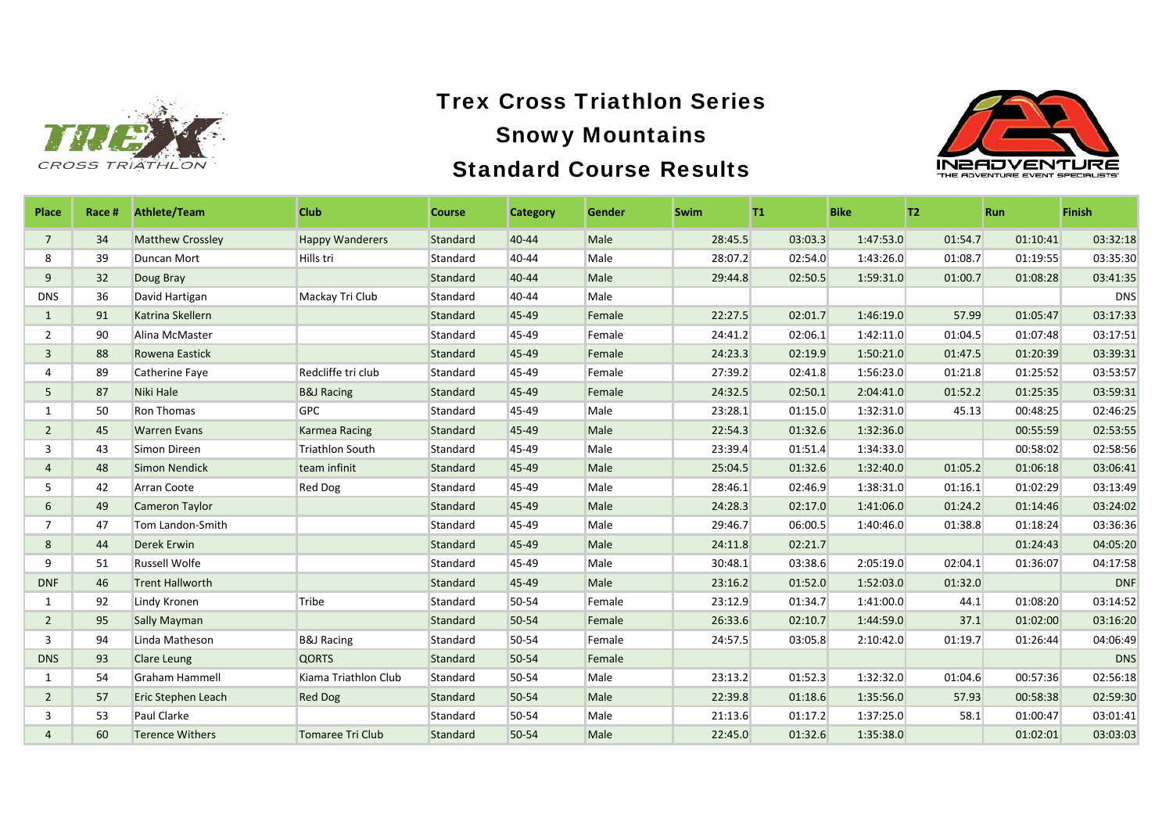



| Place          | Race # | <b>Athlete/Team</b>     | <b>Club</b>             | <b>Course</b> | <b>Category</b> | <b>Gender</b> | <b>Swim</b> | T1      | <b>Bike</b> | T <sub>2</sub> | <b>Run</b> | <b>Finish</b> |
|----------------|--------|-------------------------|-------------------------|---------------|-----------------|---------------|-------------|---------|-------------|----------------|------------|---------------|
| $\overline{7}$ | 34     | <b>Matthew Crossley</b> | <b>Happy Wanderers</b>  | Standard      | 40-44           | Male          | 28:45.5     | 03:03.3 | 1:47:53.0   | 01:54.7        | 01:10:41   | 03:32:18      |
| 8              | 39     | Duncan Mort             | Hills tri               | Standard      | 40-44           | Male          | 28:07.2     | 02:54.0 | 1:43:26.0   | 01:08.7        | 01:19:55   | 03:35:30      |
| 9              | 32     | Doug Bray               |                         | Standard      | 40-44           | Male          | 29:44.8     | 02:50.5 | 1:59:31.0   | 01:00.7        | 01:08:28   | 03:41:35      |
| <b>DNS</b>     | 36     | David Hartigan          | Mackay Tri Club         | Standard      | 40-44           | Male          |             |         |             |                |            | <b>DNS</b>    |
| $\mathbf{1}$   | 91     | Katrina Skellern        |                         | Standard      | 45-49           | Female        | 22:27.5     | 02:01.7 | 1:46:19.0   | 57.99          | 01:05:47   | 03:17:33      |
| $\overline{2}$ | 90     | Alina McMaster          |                         | Standard      | 45-49           | Female        | 24:41.2     | 02:06.1 | 1:42:11.0   | 01:04.5        | 01:07:48   | 03:17:51      |
| 3              | 88     | Rowena Eastick          |                         | Standard      | 45-49           | Female        | 24:23.3     | 02:19.9 | 1:50:21.0   | 01:47.5        | 01:20:39   | 03:39:31      |
| 4              | 89     | Catherine Faye          | Redcliffe tri club      | Standard      | 45-49           | Female        | 27:39.2     | 02:41.8 | 1:56:23.0   | 01:21.8        | 01:25:52   | 03:53:57      |
| 5              | 87     | Niki Hale               | <b>B&amp;J Racing</b>   | Standard      | 45-49           | Female        | 24:32.5     | 02:50.1 | 2:04:41.0   | 01:52.2        | 01:25:35   | 03:59:31      |
| 1              | 50     | Ron Thomas              | <b>GPC</b>              | Standard      | 45-49           | Male          | 23:28.1     | 01:15.0 | 1:32:31.0   | 45.13          | 00:48:25   | 02:46:25      |
| $\overline{2}$ | 45     | <b>Warren Evans</b>     | <b>Karmea Racing</b>    | Standard      | 45-49           | Male          | 22:54.3     | 01:32.6 | 1:32:36.0   |                | 00:55:59   | 02:53:55      |
| 3              | 43     | Simon Direen            | <b>Triathlon South</b>  | Standard      | 45-49           | Male          | 23:39.4     | 01:51.4 | 1:34:33.0   |                | 00:58:02   | 02:58:56      |
| 4              | 48     | <b>Simon Nendick</b>    | team infinit            | Standard      | 45-49           | Male          | 25:04.5     | 01:32.6 | 1:32:40.0   | 01:05.2        | 01:06:18   | 03:06:41      |
| 5              | 42     | Arran Coote             | <b>Red Dog</b>          | Standard      | 45-49           | Male          | 28:46.1     | 02:46.9 | 1:38:31.0   | 01:16.1        | 01:02:29   | 03:13:49      |
| 6              | 49     | <b>Cameron Taylor</b>   |                         | Standard      | 45-49           | Male          | 24:28.3     | 02:17.0 | 1:41:06.0   | 01:24.2        | 01:14:46   | 03:24:02      |
| $\overline{7}$ | 47     | Tom Landon-Smith        |                         | Standard      | 45-49           | Male          | 29:46.7     | 06:00.5 | 1:40:46.0   | 01:38.8        | 01:18:24   | 03:36:36      |
| 8              | 44     | <b>Derek Erwin</b>      |                         | Standard      | 45-49           | Male          | 24:11.8     | 02:21.7 |             |                | 01:24:43   | 04:05:20      |
| 9              | 51     | <b>Russell Wolfe</b>    |                         | Standard      | 45-49           | Male          | 30:48.1     | 03:38.6 | 2:05:19.0   | 02:04.1        | 01:36:07   | 04:17:58      |
| <b>DNF</b>     | 46     | <b>Trent Hallworth</b>  |                         | Standard      | 45-49           | Male          | 23:16.2     | 01:52.0 | 1:52:03.0   | 01:32.0        |            | <b>DNF</b>    |
| 1              | 92     | Lindy Kronen            | Tribe                   | Standard      | 50-54           | Female        | 23:12.9     | 01:34.7 | 1:41:00.0   | 44.1           | 01:08:20   | 03:14:52      |
| $\overline{2}$ | 95     | <b>Sally Mayman</b>     |                         | Standard      | 50-54           | Female        | 26:33.6     | 02:10.7 | 1:44:59.0   | 37.1           | 01:02:00   | 03:16:20      |
| 3              | 94     | Linda Matheson          | <b>B&amp;J Racing</b>   | Standard      | 50-54           | Female        | 24:57.5     | 03:05.8 | 2:10:42.0   | 01:19.7        | 01:26:44   | 04:06:49      |
| <b>DNS</b>     | 93     | <b>Clare Leung</b>      | <b>QORTS</b>            | Standard      | 50-54           | Female        |             |         |             |                |            | <b>DNS</b>    |
| $\mathbf{1}$   | 54     | <b>Graham Hammell</b>   | Kiama Triathlon Club    | Standard      | 50-54           | Male          | 23:13.2     | 01:52.3 | 1:32:32.0   | 01:04.6        | 00:57:36   | 02:56:18      |
| $\overline{2}$ | 57     | Eric Stephen Leach      | <b>Red Dog</b>          | Standard      | 50-54           | Male          | 22:39.8     | 01:18.6 | 1:35:56.0   | 57.93          | 00:58:38   | 02:59:30      |
| 3              | 53     | Paul Clarke             |                         | Standard      | 50-54           | Male          | 21:13.6     | 01:17.2 | 1:37:25.0   | 58.1           | 01:00:47   | 03:01:41      |
| $\overline{4}$ | 60     | <b>Terence Withers</b>  | <b>Tomaree Tri Club</b> | Standard      | 50-54           | Male          | 22:45.0     | 01:32.6 | 1:35:38.0   |                | 01:02:01   | 03:03:03      |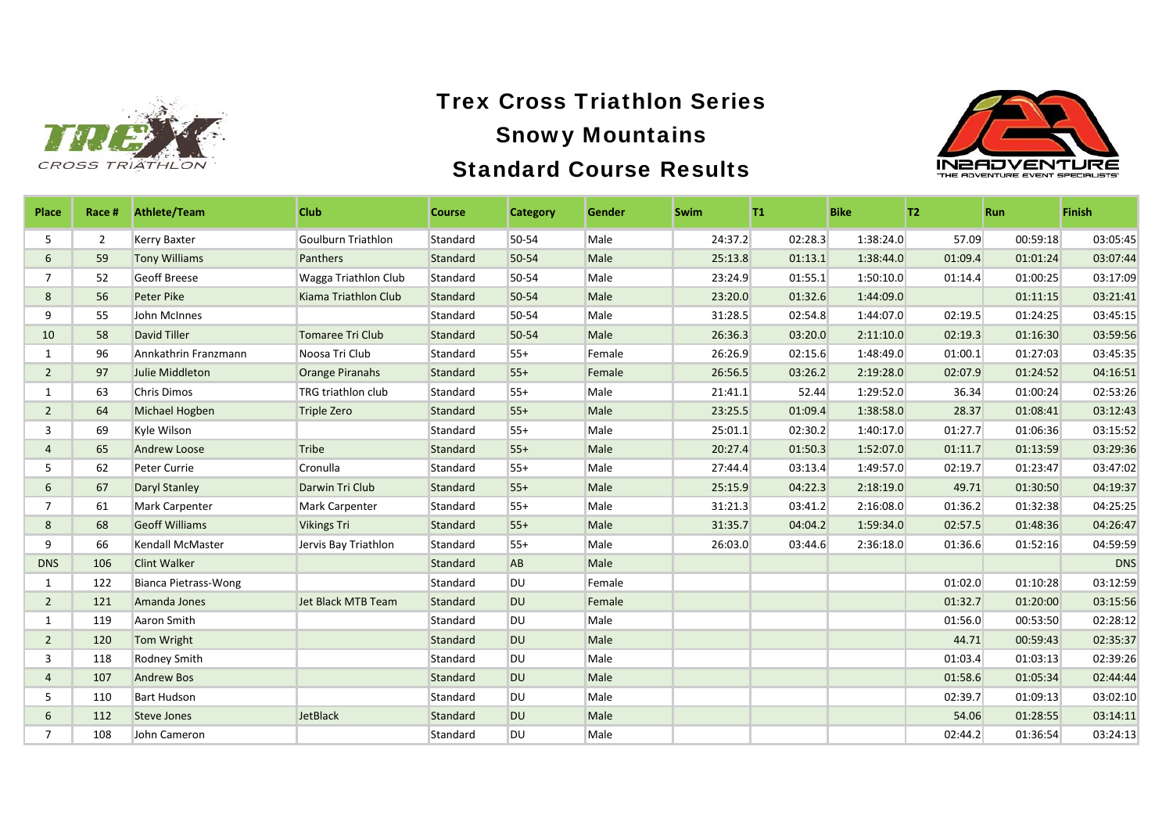



| Place          | Race #         | <b>Athlete/Team</b>         | <b>Club</b>               | <b>Course</b> | <b>Category</b> | <b>Gender</b> | <b>Swim</b> | T1      | <b>Bike</b> | T2      | <b>Run</b> | <b>Finish</b> |
|----------------|----------------|-----------------------------|---------------------------|---------------|-----------------|---------------|-------------|---------|-------------|---------|------------|---------------|
| 5              | $\overline{2}$ | <b>Kerry Baxter</b>         | Goulburn Triathlon        | Standard      | 50-54           | Male          | 24:37.2     | 02:28.3 | 1:38:24.0   | 57.09   | 00:59:18   | 03:05:45      |
| 6              | 59             | <b>Tony Williams</b>        | Panthers                  | Standard      | 50-54           | Male          | 25:13.8     | 01:13.1 | 1:38:44.0   | 01:09.4 | 01:01:24   | 03:07:44      |
| $\overline{7}$ | 52             | <b>Geoff Breese</b>         | Wagga Triathlon Club      | Standard      | 50-54           | Male          | 23:24.9     | 01:55.1 | 1:50:10.0   | 01:14.4 | 01:00:25   | 03:17:09      |
| 8              | 56             | <b>Peter Pike</b>           | Kiama Triathlon Club      | Standard      | 50-54           | Male          | 23:20.0     | 01:32.6 | 1:44:09.0   |         | 01:11:15   | 03:21:41      |
| 9              | 55             | John McInnes                |                           | Standard      | 50-54           | Male          | 31:28.5     | 02:54.8 | 1:44:07.0   | 02:19.5 | 01:24:25   | 03:45:15      |
| 10             | 58             | David Tiller                | <b>Tomaree Tri Club</b>   | Standard      | 50-54           | Male          | 26:36.3     | 03:20.0 | 2:11:10.0   | 02:19.3 | 01:16:30   | 03:59:56      |
| 1              | 96             | Annkathrin Franzmann        | Noosa Tri Club            | Standard      | $55+$           | Female        | 26:26.9     | 02:15.6 | 1:48:49.0   | 01:00.1 | 01:27:03   | 03:45:35      |
| $\overline{2}$ | 97             | <b>Julie Middleton</b>      | <b>Orange Piranahs</b>    | Standard      | $55+$           | Female        | 26:56.5     | 03:26.2 | 2:19:28.0   | 02:07.9 | 01:24:52   | 04:16:51      |
| 1              | 63             | <b>Chris Dimos</b>          | <b>TRG triathlon club</b> | Standard      | $55+$           | Male          | 21:41.1     | 52.44   | 1:29:52.0   | 36.34   | 01:00:24   | 02:53:26      |
| $\overline{2}$ | 64             | Michael Hogben              | <b>Triple Zero</b>        | Standard      | $55+$           | Male          | 23:25.5     | 01:09.4 | 1:38:58.0   | 28.37   | 01:08:41   | 03:12:43      |
| 3              | 69             | Kyle Wilson                 |                           | Standard      | $55+$           | Male          | 25:01.1     | 02:30.2 | 1:40:17.0   | 01:27.7 | 01:06:36   | 03:15:52      |
| 4              | 65             | <b>Andrew Loose</b>         | <b>Tribe</b>              | Standard      | $55+$           | Male          | 20:27.4     | 01:50.3 | 1:52:07.0   | 01:11.7 | 01:13:59   | 03:29:36      |
| 5              | 62             | Peter Currie                | Cronulla                  | Standard      | $55+$           | Male          | 27:44.4     | 03:13.4 | 1:49:57.0   | 02:19.7 | 01:23:47   | 03:47:02      |
| 6              | 67             | <b>Daryl Stanley</b>        | Darwin Tri Club           | Standard      | $55+$           | Male          | 25:15.9     | 04:22.3 | 2:18:19.0   | 49.71   | 01:30:50   | 04:19:37      |
| $\overline{7}$ | 61             | <b>Mark Carpenter</b>       | Mark Carpenter            | Standard      | $55+$           | Male          | 31:21.3     | 03:41.2 | 2:16:08.0   | 01:36.2 | 01:32:38   | 04:25:25      |
| 8              | 68             | <b>Geoff Williams</b>       | <b>Vikings Tri</b>        | Standard      | $55+$           | Male          | 31:35.7     | 04:04.2 | 1:59:34.0   | 02:57.5 | 01:48:36   | 04:26:47      |
| 9              | 66             | Kendall McMaster            | Jervis Bay Triathlon      | Standard      | $55+$           | Male          | 26:03.0     | 03:44.6 | 2:36:18.0   | 01:36.6 | 01:52:16   | 04:59:59      |
| <b>DNS</b>     | 106            | <b>Clint Walker</b>         |                           | Standard      | AB              | Male          |             |         |             |         |            | <b>DNS</b>    |
| 1              | 122            | <b>Bianca Pietrass-Wong</b> |                           | Standard      | <b>DU</b>       | Female        |             |         |             | 01:02.0 | 01:10:28   | 03:12:59      |
| $\overline{2}$ | 121            | Amanda Jones                | <b>Jet Black MTB Team</b> | Standard      | <b>DU</b>       | Female        |             |         |             | 01:32.7 | 01:20:00   | 03:15:56      |
| $\mathbf{1}$   | 119            | Aaron Smith                 |                           | Standard      | DU              | Male          |             |         |             | 01:56.0 | 00:53:50   | 02:28:12      |
| $\overline{2}$ | 120            | Tom Wright                  |                           | Standard      | <b>DU</b>       | Male          |             |         |             | 44.71   | 00:59:43   | 02:35:37      |
| 3              | 118            | Rodney Smith                |                           | Standard      | DU              | Male          |             |         |             | 01:03.4 | 01:03:13   | 02:39:26      |
| $\overline{4}$ | 107            | <b>Andrew Bos</b>           |                           | Standard      | <b>DU</b>       | Male          |             |         |             | 01:58.6 | 01:05:34   | 02:44:44      |
| 5              | 110            | <b>Bart Hudson</b>          |                           | Standard      | <b>DU</b>       | Male          |             |         |             | 02:39.7 | 01:09:13   | 03:02:10      |
| 6              | 112            | <b>Steve Jones</b>          | <b>JetBlack</b>           | Standard      | <b>DU</b>       | Male          |             |         |             | 54.06   | 01:28:55   | 03:14:11      |
|                | 108            | John Cameron                |                           | Standard      | DU              | Male          |             |         |             | 02:44.2 | 01:36:54   | 03:24:13      |